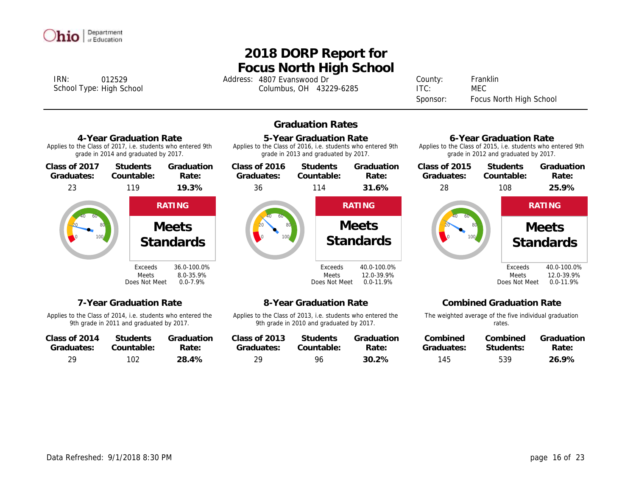

# **Focus North High School 2018 DORP Report for**

IRN: 4807 Evanswood Dr 012529 Address: County: Columbus, OH 43229-6285 School Type: ITC: High School MEC

Franklin Sponsor: Focus North High School

## **Graduation Rates**



Applies to the Class of 2014, i.e. students who entered the 9th grade in 2011 and graduated by 2017.

| Class of 2014 | <b>Students</b> | Graduation |
|---------------|-----------------|------------|
| Graduates:    | Countable:      | Rate:      |
| 29            | 102             | 28.4%      |

Applies to the Class of 2013, i.e. students who entered the 9th grade in 2010 and graduated by 2017.

| Class of 2013 | <b>Students</b> | Graduation |
|---------------|-----------------|------------|
| Graduates:    | Countable:      | Rate:      |
| 29            | 96              | $30.2\%$   |

The weighted average of the five individual graduation rates.

| Combined   | Combined  | Graduation |
|------------|-----------|------------|
| Graduates: | Students: | Rate:      |
| 145        | 539       | 26.9%      |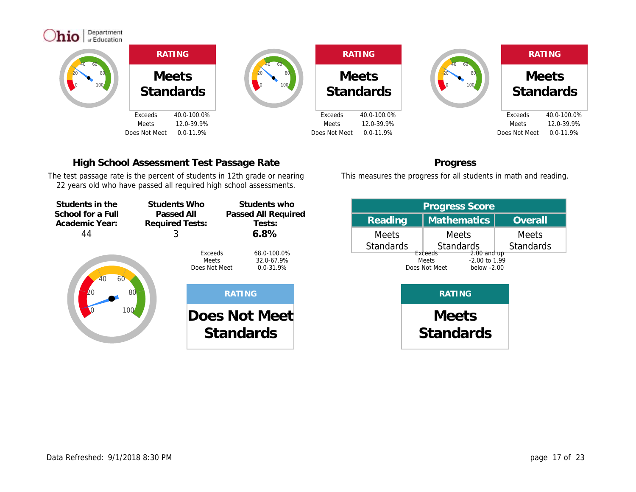

# **High School Assessment Test Passage Rate**

The test passage rate is the percent of students in 12th grade or nearing 22 years old who have passed all required high school assessments.



| <b>Progress Score</b> |                                                                 |                  |  |  |  |  |  |  |  |  |
|-----------------------|-----------------------------------------------------------------|------------------|--|--|--|--|--|--|--|--|
| Reading               | <b>Mathematics</b>                                              | Overall          |  |  |  |  |  |  |  |  |
| <b>Meets</b>          | <b>Meets</b>                                                    | <b>Meets</b>     |  |  |  |  |  |  |  |  |
| <b>Standards</b>      | <b>Standards</b><br>Exceeds<br>$2.00$ and up                    | <b>Standards</b> |  |  |  |  |  |  |  |  |
|                       | $-2.00$ to 1.99<br><b>Meets</b><br>Does Not Meet<br>below -2.00 |                  |  |  |  |  |  |  |  |  |
|                       |                                                                 |                  |  |  |  |  |  |  |  |  |
|                       | <b>Meets</b>                                                    |                  |  |  |  |  |  |  |  |  |

**Standards**

**Progress** This measures the progress for all students in math and reading.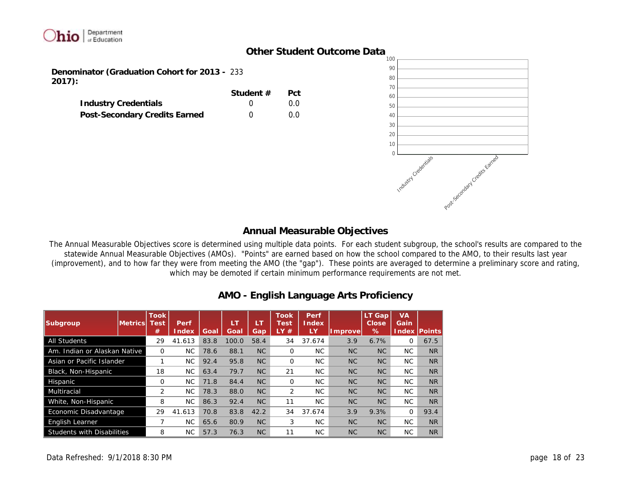

## **Other Student Outcome Data**

**Denominator (Graduation Cohort for 2013 -** 233 **2017):**

|                               | Student $#$ | Pct     |
|-------------------------------|-------------|---------|
| <b>Industry Credentials</b>   |             | $0.0^-$ |
| Post-Secondary Credits Earned |             | $0.0^-$ |



## **Annual Measurable Objectives**

The Annual Measurable Objectives score is determined using multiple data points. For each student subgroup, the school's results are compared to the statewide Annual Measurable Objectives (AMOs). "Points" are earned based on how the school compared to the AMO, to their results last year (improvement), and to how far they were from meeting the AMO (the "gap"). These points are averaged to determine a preliminary score and rating, which may be demoted if certain minimum performance requirements are not met.

| Subgroup                          | lMetricsl | <b>Took</b><br>est <sup>.</sup><br># | Perf<br>Index | Goal | Æ<br>Goal | LT<br>Gap | <b>Took</b><br><b>Test</b><br>1 Y<br># | Perf<br>Index<br>LY | mprovel   | LТ<br>Gap<br>Close<br>% | <b>VA</b><br>Gain<br>Index | <b>IPoints</b> |
|-----------------------------------|-----------|--------------------------------------|---------------|------|-----------|-----------|----------------------------------------|---------------------|-----------|-------------------------|----------------------------|----------------|
| <b>All Students</b>               |           | 29                                   | 41.613        | 83.8 | 100.0     | 58.4      | 34                                     | 37.674              | 3.9       | 6.7%                    | $\Omega$                   | 67.5           |
| Am. Indian or Alaskan Native      |           | $\Omega$                             | NC.           | 78.6 | 88.1      | NC        | $\Omega$                               | NC.                 | NC        | NC                      | NC.                        | <b>NR</b>      |
| Asian or Pacific Islander         |           |                                      | NC.           | 92.4 | 95.8      | NC        | $\Omega$                               | NC.                 | <b>NC</b> | NC                      | NC.                        | <b>NR</b>      |
| Black, Non-Hispanic               |           | 18                                   | NC.           | 63.4 | 79.7      | NC        | 21                                     | <b>NC</b>           | <b>NC</b> | NC                      | NC.                        | <b>NR</b>      |
| Hispanic                          |           | O                                    | NC.           | 71.8 | 84.4      | NC        | $\Omega$                               | <b>NC</b>           | <b>NC</b> | <b>NC</b>               | NC.                        | <b>NR</b>      |
| Multiracial                       |           | 2                                    | NC.           | 78.3 | 88.0      | NC        | $\overline{2}$                         | NC.                 | <b>NC</b> | NC                      | NC.                        | <b>NR</b>      |
| White, Non-Hispanic               |           | 8                                    | <b>NC</b>     | 86.3 | 92.4      | NC        | 11                                     | NC.                 | <b>NC</b> | NC                      | NC.                        | <b>NR</b>      |
| Economic Disadvantage             |           | 29                                   | 41.613        | 70.8 | 83.8      | 42.2      | 34                                     | 37.674              | 3.9       | 9.3%                    | $\Omega$                   | 93.4           |
| <b>English Learner</b>            |           |                                      | <b>NC</b>     | 65.6 | 80.9      | NC        | 3                                      | <b>NC</b>           | <b>NC</b> | NC                      | NC.                        | <b>NR</b>      |
| <b>Students with Disabilities</b> |           | 8                                    | NC.           | 57.3 | 76.3      | NC        | 11                                     | NC.                 | <b>NC</b> | <b>NC</b>               | NC.                        | <b>NR</b>      |

# **AMO - English Language Arts Proficiency**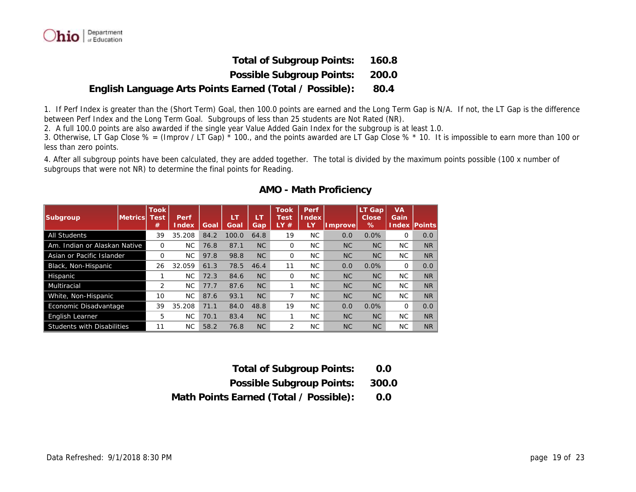

**Total of Subgroup Points: 160.8**

**Possible Subgroup Points: 200.0**

#### **English Language Arts Points Earned (Total / Possible): 80.4**

1. If Perf Index is greater than the (Short Term) Goal, then 100.0 points are earned and the Long Term Gap is N/A. If not, the LT Gap is the difference between Perf Index and the Long Term Goal. Subgroups of less than 25 students are Not Rated (NR).

2. A full 100.0 points are also awarded if the single year Value Added Gain Index for the subgroup is at least 1.0.

3. Otherwise, LT Gap Close % = (Improv / LT Gap) \* 100., and the points awarded are LT Gap Close % \* 10. It is impossible to earn more than 100 or less than zero points.

4. After all subgroup points have been calculated, they are added together. The total is divided by the maximum points possible (100 x number of subgroups that were not NR) to determine the final points for Reading.

| Subgroup                          | Metrics | <b>Took</b><br>⊺est<br># | Perf<br>Index | Goal | ÆT<br>Goal | Gap  | <b>Took</b><br>Test<br><b>AY</b><br># | Perf<br>Index<br>LY | mprovel   | LT Gap<br>Close<br>% | <b>VA</b><br>Gain<br>ndex | lPoints   |
|-----------------------------------|---------|--------------------------|---------------|------|------------|------|---------------------------------------|---------------------|-----------|----------------------|---------------------------|-----------|
| <b>All Students</b>               |         | 39                       | 35.208        | 84.2 | 100.0      | 64.8 | 19                                    | NC.                 | 0.0       | 0.0%                 | $\Omega$                  | 0.0       |
| Am. Indian or Alaskan Native      |         | O                        | <b>NC</b>     | 76.8 | 87.1       | NC   | $\Omega$                              | NC.                 | <b>NC</b> | <b>NC</b>            | NC.                       | <b>NR</b> |
| Asian or Pacific Islander         |         | O                        | <b>NC</b>     | 97.8 | 98.8       | NC   | $\Omega$                              | NC.                 | <b>NC</b> | <b>NC</b>            | NC.                       | <b>NR</b> |
| Black, Non-Hispanic               |         | 26                       | 32.059        | 61.3 | 78.5       | 46.4 | 11                                    | NC.                 | 0.0       | 0.0%                 | $\Omega$                  | 0.0       |
| Hispanic                          |         |                          | <b>NC</b>     | 72.3 | 84.6       | NC   | $\Omega$                              | NC.                 | <b>NC</b> | <b>NC</b>            | NC.                       | <b>NR</b> |
| Multiracial                       |         | 2                        | <b>NC</b>     | 77.7 | 87.6       | NC   |                                       | NC.                 | <b>NC</b> | <b>NC</b>            | <b>NC</b>                 | <b>NR</b> |
| White, Non-Hispanic               |         | 10                       | <b>NC</b>     | 87.6 | 93.1       | NC   |                                       | NC.                 | NC        | <b>NC</b>            | <b>NC</b>                 | <b>NR</b> |
| Economic Disadvantage             |         | 39                       | 35.208        | 71.1 | 84.0       | 48.8 | 19                                    | NC.                 | 0.0       | 0.0%                 | $\Omega$                  | 0.0       |
| English Learner                   |         | 5                        | <b>NC</b>     | 70.1 | 83.4       | NC   |                                       | NC.                 | NC        | <b>NC</b>            | NC.                       | <b>NR</b> |
| <b>Students with Disabilities</b> |         | 11                       | NC.           | 58.2 | 76.8       | NC   | 2                                     | NC.                 | <b>NC</b> | <b>NC</b>            | NC.                       | <b>NR</b> |

#### **AMO - Math Proficiency**

- **Total of Subgroup Points: 0.0**
- **Possible Subgroup Points: 300.0**
- **Math Points Earned (Total / Possible): 0.0**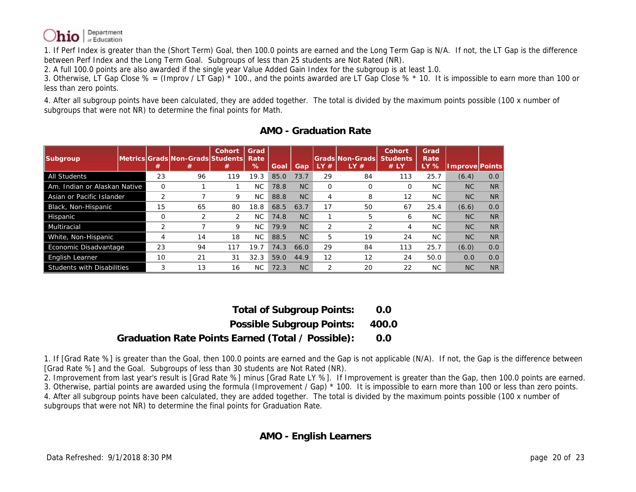

1. If Perf Index is greater than the (Short Term) Goal, then 100.0 points are earned and the Long Term Gap is N/A. If not, the LT Gap is the difference between Perf Index and the Long Term Goal. Subgroups of less than 25 students are Not Rated (NR).

2. A full 100.0 points are also awarded if the single year Value Added Gain Index for the subgroup is at least 1.0.

3. Otherwise, LT Gap Close  $% = (Improv / LT Gap)^*100.$ , and the points awarded are LT Gap Close  $% *10.$  It is impossible to earn more than 100 or less than zero points.

4. After all subgroup points have been calculated, they are added together. The total is divided by the maximum points possible (100 x number of subgroups that were not NR) to determine the final points for Math.

| Subgroup                          | #              | lMetricsIGradsINon-GradsIStudentsI<br># | Cohort<br>#    | Grad<br>Rate<br>% | Goal | Gap  | #  | Grads Non-Grads <br>LY# | Cohort<br><b>Students</b><br># LY | Grad<br>Rate<br>LY % | mprove Points |                |
|-----------------------------------|----------------|-----------------------------------------|----------------|-------------------|------|------|----|-------------------------|-----------------------------------|----------------------|---------------|----------------|
| <b>All Students</b>               | 23             | 96                                      | 119            | 19.3              | 85.0 | 73.7 | 29 | 84                      | 113                               | 25.7                 | (6.4)         | 0.0            |
| Am. Indian or Alaskan Native      | $\Omega$       |                                         |                | NC.               | 78.8 | NC   | 0  |                         | Ω                                 | NC.                  | NC            | N <sub>R</sub> |
| Asian or Pacific Islander         | $\overline{2}$ |                                         | 9              | NC.               | 88.8 | NC   | 4  | 8                       | 12                                | <b>NC</b>            | <b>NC</b>     | N <sub>R</sub> |
| Black, Non-Hispanic               | 15             | 65                                      | 80             | 18.8              | 68.5 | 63.7 | 17 | 50                      | 67                                | 25.4                 | (6.6)         | 0.0            |
| Hispanic                          | O              |                                         | $\overline{2}$ | NC.               | 74.8 | NC   |    | 5                       | 6                                 | NC.                  | <b>NC</b>     | <b>NR</b>      |
| Multiracial                       | 2              |                                         | 9              | NC.               | 79.9 | NC   | 2  |                         | 4                                 | <b>NC</b>            | NC            | <b>NR</b>      |
| White, Non-Hispanic               | 4              | 14                                      | 18             | NC.               | 88.5 | NC   | 5  | 19                      | 24                                | NC.                  | NC            | <b>NR</b>      |
| Economic Disadvantage             | 23             | 94                                      | 117            | 19.7              | 74.3 | 66.0 | 29 | 84                      | 113                               | 25.7                 | (6.0)         | 0.0            |
| <b>English Learner</b>            | 10             | 21                                      | 31             | 32.3              | 59.0 | 44.9 | 12 | 12                      | 24                                | 50.0                 | 0.0           | 0.0            |
| <b>Students with Disabilities</b> | 3              | 13                                      | 16             | NC.               | 72.3 | NC   | 2  | 20                      | 22                                | <b>NC</b>            | NC            | N <sub>R</sub> |

| AMO - Graduation Rate |  |
|-----------------------|--|
|                       |  |

**Total of Subgroup Points: 0.0 Possible Subgroup Points: 400.0 Graduation Rate Points Earned (Total / Possible): 0.0**

1. If [Grad Rate %] is greater than the Goal, then 100.0 points are earned and the Gap is not applicable (N/A). If not, the Gap is the difference between [Grad Rate %] and the Goal. Subgroups of less than 30 students are Not Rated (NR).

2. Improvement from last year's result is [Grad Rate %] minus [Grad Rate LY %]. If Improvement is greater than the Gap, then 100.0 points are earned. 3. Otherwise, partial points are awarded using the formula (Improvement / Gap) \* 100. It is impossible to earn more than 100 or less than zero points. 4. After all subgroup points have been calculated, they are added together. The total is divided by the maximum points possible (100 x number of subgroups that were not NR) to determine the final points for Graduation Rate.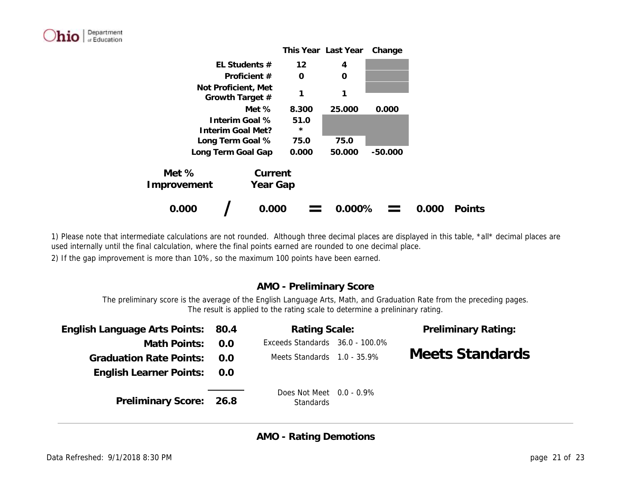

1) Please note that intermediate calculations are not rounded. Although three decimal places are displayed in this table, \*all\* decimal places are used internally until the final calculation, where the final points earned are rounded to one decimal place.

2) If the gap improvement is more than 10%, so the maximum 100 points have been earned.

# **AMO - Preliminary Score**

The preliminary score is the average of the English Language Arts, Math, and Graduation Rate from the preceding pages. The result is applied to the rating scale to determine a prelininary rating.

| English Language Arts Points: 80.4 |      | Rating Scale:                                   | <b>Preliminary Rating:</b> |
|------------------------------------|------|-------------------------------------------------|----------------------------|
| Math Points:                       | -N.N | Exceeds Standards 36.0 - 100.0%                 |                            |
| <b>Graduation Rate Points:</b>     | 0.0  | Meets Standards 1.0 - 35.9%                     | Meets Standards            |
| English Learner Points:            | 0.0  |                                                 |                            |
| Preliminary Score: 26.8            |      | Does Not Meet $0.0 - 0.9\%$<br><b>Standards</b> |                            |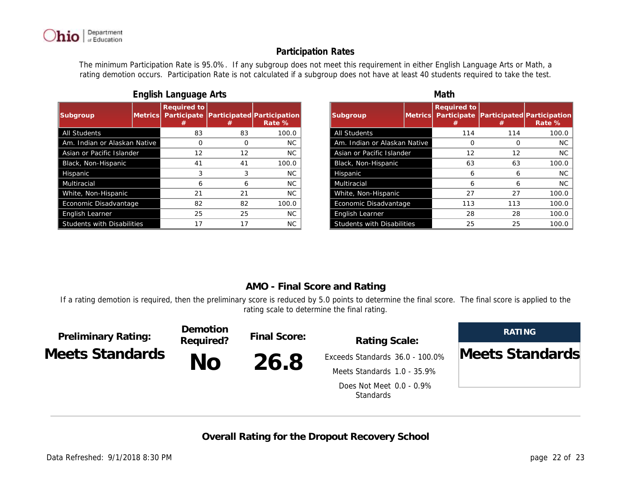

The minimum Participation Rate is 95.0%. If any subgroup does not meet this requirement in either English Language Arts or Math, a rating demotion occurs. Participation Rate is not calculated if a subgroup does not have at least 40 students required to take the test.

| Subgroup                          | Metrics <b> </b> | Required to<br>Participate<br># | #   | Participated Participation<br>Rate % |
|-----------------------------------|------------------|---------------------------------|-----|--------------------------------------|
| <b>All Students</b>               |                  | 83                              | 83  | 100.0                                |
| Am. Indian or Alaskan Native      |                  |                                 | ( ) | <b>NC</b>                            |
| Asian or Pacific Islander         | 12               | 12                              | NC. |                                      |
| Black, Non-Hispanic               |                  | 41                              | 41  | 100.0                                |
| Hispanic                          |                  | 3                               | 3   | NC.                                  |
| Multiracial                       |                  | 6                               | 6   | NC.                                  |
| White, Non-Hispanic               |                  | 21                              | 21  | NC.                                  |
| Economic Disadvantage             |                  | 82                              | 82  | 100.0                                |
| English Learner                   |                  | 25                              | 25  | <b>NC</b>                            |
| <b>Students with Disabilities</b> |                  | 17                              | 17  | <b>NC</b>                            |

### *English Language Arts Math*

 $\sum_{\text{in } \text{Equation}}$ 

| Subgroup                          | Metricsl | Required to<br>Participate<br># | #   | Participated Participation<br>Rate % |
|-----------------------------------|----------|---------------------------------|-----|--------------------------------------|
| <b>All Students</b>               |          | 114                             | 114 | 100.0                                |
| Am. Indian or Alaskan Native      |          |                                 |     | <b>NC</b>                            |
| Asian or Pacific Islander         |          | 12                              | 12  | NC.                                  |
| Black, Non-Hispanic               |          | 63                              | 63  | 100.0                                |
| Hispanic                          |          | 6                               | 6   | <b>NC</b>                            |
| Multiracial                       |          | 6                               | 6   | NC.                                  |
| White, Non-Hispanic               |          |                                 | 27  | 100.0                                |
| Economic Disadvantage             |          | 113                             | 113 | 100.0                                |
| English Learner                   |          | 28                              | 28  | 100.0                                |
| <b>Students with Disabilities</b> |          | 25                              | 25  | 100.0                                |

## **AMO - Final Score and Rating**

If a rating demotion is required, then the preliminary score is reduced by 5.0 points to determine the final score. The final score is applied to the rating scale to determine the final rating.

| <b>Preliminary Rating:</b><br>Meets Standards | Demotion<br>Required? | Final Score: | Rating Scale:<br>Exceeds Standards 36.0 - 100.0% | RATING          |
|-----------------------------------------------|-----------------------|--------------|--------------------------------------------------|-----------------|
|                                               | No                    | 26.8         |                                                  | Meets Standards |
|                                               |                       |              | Meets Standards 1.0 - 35.9%                      |                 |
|                                               |                       |              | Does Not Meet 0.0 - 0.9%<br><b>Standards</b>     |                 |

**Overall Rating for the Dropout Recovery School**